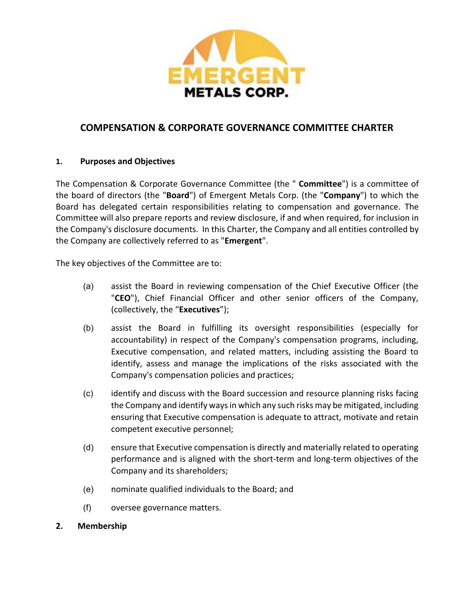

# **COMPENSATION & CORPORATE GOVERNANCE COMMITTEE CHARTER**

## **1. Purposes and Objectives**

The Compensation & Corporate Governance Committee (the " **Committee**") is a committee of the board of directors (the "**Board**") of Emergent Metals Corp. (the "**Company**") to which the Board has delegated certain responsibilities relating to compensation and governance. The Committee will also prepare reports and review disclosure, if and when required, for inclusion in the Company's disclosure documents. In this Charter, the Company and all entities controlled by the Company are collectively referred to as "**Emergent**".

The key objectives of the Committee are to:

- (a) assist the Board in reviewing compensation of the Chief Executive Officer (the "**CEO**"), Chief Financial Officer and other senior officers of the Company, (collectively, the "**Executives**");
- (b) assist the Board in fulfilling its oversight responsibilities (especially for accountability) in respect of the Company's compensation programs, including, Executive compensation, and related matters, including assisting the Board to identify, assess and manage the implications of the risks associated with the Company's compensation policies and practices;
- (c) identify and discuss with the Board succession and resource planning risks facing the Company and identify ways in which any such risks may be mitigated, including ensuring that Executive compensation is adequate to attract, motivate and retain competent executive personnel;
- (d) ensure that Executive compensation is directly and materially related to operating performance and is aligned with the short-term and long-term objectives of the Company and its shareholders;
- (e) nominate qualified individuals to the Board; and
- (f) oversee governance matters.

### **2. Membership**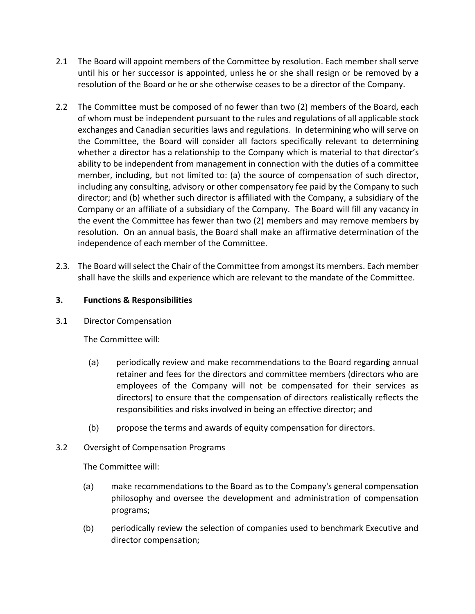- 2.1 The Board will appoint members of the Committee by resolution. Each member shall serve until his or her successor is appointed, unless he or she shall resign or be removed by a resolution of the Board or he or she otherwise ceases to be a director of the Company.
- 2.2 The Committee must be composed of no fewer than two (2) members of the Board, each of whom must be independent pursuant to the rules and regulations of all applicable stock exchanges and Canadian securities laws and regulations. In determining who will serve on the Committee, the Board will consider all factors specifically relevant to determining whether a director has a relationship to the Company which is material to that director's ability to be independent from management in connection with the duties of a committee member, including, but not limited to: (a) the source of compensation of such director, including any consulting, advisory or other compensatory fee paid by the Company to such director; and (b) whether such director is affiliated with the Company, a subsidiary of the Company or an affiliate of a subsidiary of the Company. The Board will fill any vacancy in the event the Committee has fewer than two (2) members and may remove members by resolution. On an annual basis, the Board shall make an affirmative determination of the independence of each member of the Committee.
- 2.3. The Board will select the Chair of the Committee from amongst its members. Each member shall have the skills and experience which are relevant to the mandate of the Committee.

# **3. Functions & Responsibilities**

3.1 Director Compensation

The Committee will:

- (a) periodically review and make recommendations to the Board regarding annual retainer and fees for the directors and committee members (directors who are employees of the Company will not be compensated for their services as directors) to ensure that the compensation of directors realistically reflects the responsibilities and risks involved in being an effective director; and
- (b) propose the terms and awards of equity compensation for directors.
- 3.2 Oversight of Compensation Programs

The Committee will:

- (a) make recommendations to the Board as to the Company's general compensation philosophy and oversee the development and administration of compensation programs;
- (b) periodically review the selection of companies used to benchmark Executive and director compensation;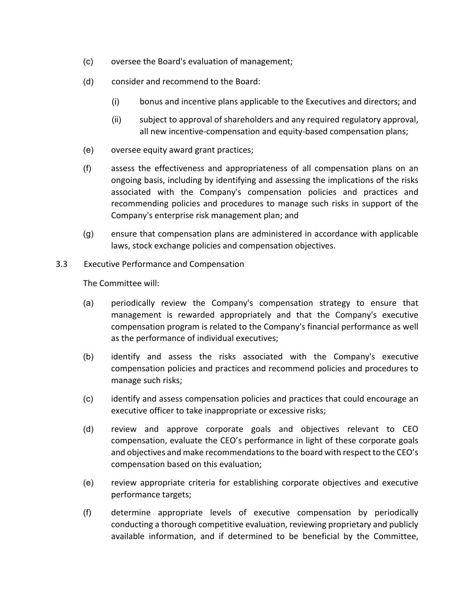- (c) oversee the Board's evaluation of management;
- (d) consider and recommend to the Board:
	- (i) bonus and incentive plans applicable to the Executives and directors; and
	- (ii) subject to approval of shareholders and any required regulatory approval, all new incentive-compensation and equity-based compensation plans;
- (e) oversee equity award grant practices;
- (f) assess the effectiveness and appropriateness of all compensation plans on an ongoing basis, including by identifying and assessing the implications of the risks associated with the Company's compensation policies and practices and recommending policies and procedures to manage such risks in support of the Company's enterprise risk management plan; and
- (g) ensure that compensation plans are administered in accordance with applicable laws, stock exchange policies and compensation objectives.
- 3.3 Executive Performance and Compensation

The Committee will:

- (a) periodically review the Company's compensation strategy to ensure that management is rewarded appropriately and that the Company's executive compensation program is related to the Company's financial performance as well as the performance of individual executives;
- (b) identify and assess the risks associated with the Company's executive compensation policies and practices and recommend policies and procedures to manage such risks;
- (c) identify and assess compensation policies and practices that could encourage an executive officer to take inappropriate or excessive risks;
- (d) review and approve corporate goals and objectives relevant to CEO compensation, evaluate the CEO's performance in light of these corporate goals and objectives and make recommendations to the board with respect to the CEO's compensation based on this evaluation;
- (e) review appropriate criteria for establishing corporate objectives and executive performance targets;
- (f) determine appropriate levels of executive compensation by periodically conducting a thorough competitive evaluation, reviewing proprietary and publicly available information, and if determined to be beneficial by the Committee,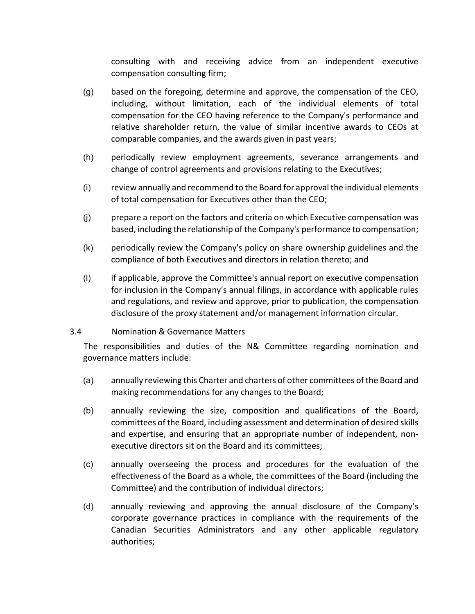consulting with and receiving advice from an independent executive compensation consulting firm;

- (g) based on the foregoing, determine and approve, the compensation of the CEO, including, without limitation, each of the individual elements of total compensation for the CEO having reference to the Company's performance and relative shareholder return, the value of similar incentive awards to CEOs at comparable companies, and the awards given in past years;
- (h) periodically review employment agreements, severance arrangements and change of control agreements and provisions relating to the Executives;
- (i) review annually and recommend to the Board for approval the individual elements of total compensation for Executives other than the CEO;
- (j) prepare a report on the factors and criteria on which Executive compensation was based, including the relationship of the Company's performance to compensation;
- (k) periodically review the Company's policy on share ownership guidelines and the compliance of both Executives and directors in relation thereto; and
- (l) if applicable, approve the Committee's annual report on executive compensation for inclusion in the Company's annual filings, in accordance with applicable rules and regulations, and review and approve, prior to publication, the compensation disclosure of the proxy statement and/or management information circular.

### 3.4 Nomination & Governance Matters

The responsibilities and duties of the N& Committee regarding nomination and governance matters include:

- (a) annually reviewing this Charter and charters of other committees of the Board and making recommendations for any changes to the Board;
- (b) annually reviewing the size, composition and qualifications of the Board, committees of the Board, including assessment and determination of desired skills and expertise, and ensuring that an appropriate number of independent, nonexecutive directors sit on the Board and its committees;
- (c) annually overseeing the process and procedures for the evaluation of the effectiveness of the Board as a whole, the committees of the Board (including the Committee) and the contribution of individual directors;
- (d) annually reviewing and approving the annual disclosure of the Company's corporate governance practices in compliance with the requirements of the Canadian Securities Administrators and any other applicable regulatory authorities;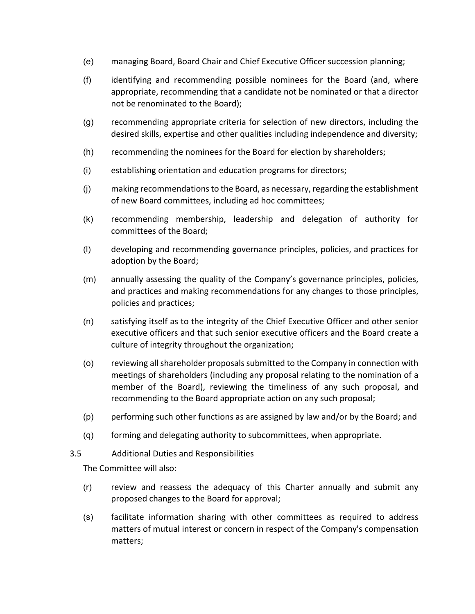- (e) managing Board, Board Chair and Chief Executive Officer succession planning;
- (f) identifying and recommending possible nominees for the Board (and, where appropriate, recommending that a candidate not be nominated or that a director not be renominated to the Board);
- (g) recommending appropriate criteria for selection of new directors, including the desired skills, expertise and other qualities including independence and diversity;
- (h) recommending the nominees for the Board for election by shareholders;
- (i) establishing orientation and education programs for directors;
- (j) making recommendations to the Board, as necessary, regarding the establishment of new Board committees, including ad hoc committees;
- (k) recommending membership, leadership and delegation of authority for committees of the Board;
- (l) developing and recommending governance principles, policies, and practices for adoption by the Board;
- (m) annually assessing the quality of the Company's governance principles, policies, and practices and making recommendations for any changes to those principles, policies and practices;
- (n) satisfying itself as to the integrity of the Chief Executive Officer and other senior executive officers and that such senior executive officers and the Board create a culture of integrity throughout the organization;
- (o) reviewing all shareholder proposals submitted to the Company in connection with meetings of shareholders (including any proposal relating to the nomination of a member of the Board), reviewing the timeliness of any such proposal, and recommending to the Board appropriate action on any such proposal;
- (p) performing such other functions as are assigned by law and/or by the Board; and
- (q) forming and delegating authority to subcommittees, when appropriate.
- 3.5 Additional Duties and Responsibilities

The Committee will also:

- (r) review and reassess the adequacy of this Charter annually and submit any proposed changes to the Board for approval;
- (s) facilitate information sharing with other committees as required to address matters of mutual interest or concern in respect of the Company's compensation matters;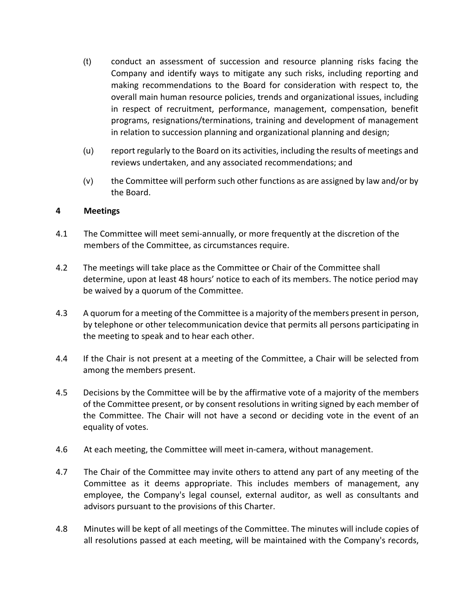- (t) conduct an assessment of succession and resource planning risks facing the Company and identify ways to mitigate any such risks, including reporting and making recommendations to the Board for consideration with respect to, the overall main human resource policies, trends and organizational issues, including in respect of recruitment, performance, management, compensation, benefit programs, resignations/terminations, training and development of management in relation to succession planning and organizational planning and design;
- (u) report regularly to the Board on its activities, including the results of meetings and reviews undertaken, and any associated recommendations; and
- (v) the Committee will perform such other functions as are assigned by law and/or by the Board.

### **4 Meetings**

- 4.1 The Committee will meet semi-annually, or more frequently at the discretion of the members of the Committee, as circumstances require.
- 4.2 The meetings will take place as the Committee or Chair of the Committee shall determine, upon at least 48 hours' notice to each of its members. The notice period may be waived by a quorum of the Committee.
- 4.3 A quorum for a meeting of the Committee is a majority of the members present in person, by telephone or other telecommunication device that permits all persons participating in the meeting to speak and to hear each other.
- 4.4 If the Chair is not present at a meeting of the Committee, a Chair will be selected from among the members present.
- 4.5 Decisions by the Committee will be by the affirmative vote of a majority of the members of the Committee present, or by consent resolutions in writing signed by each member of the Committee. The Chair will not have a second or deciding vote in the event of an equality of votes.
- 4.6 At each meeting, the Committee will meet in-camera, without management.
- 4.7 The Chair of the Committee may invite others to attend any part of any meeting of the Committee as it deems appropriate. This includes members of management, any employee, the Company's legal counsel, external auditor, as well as consultants and advisors pursuant to the provisions of this Charter.
- 4.8 Minutes will be kept of all meetings of the Committee. The minutes will include copies of all resolutions passed at each meeting, will be maintained with the Company's records,